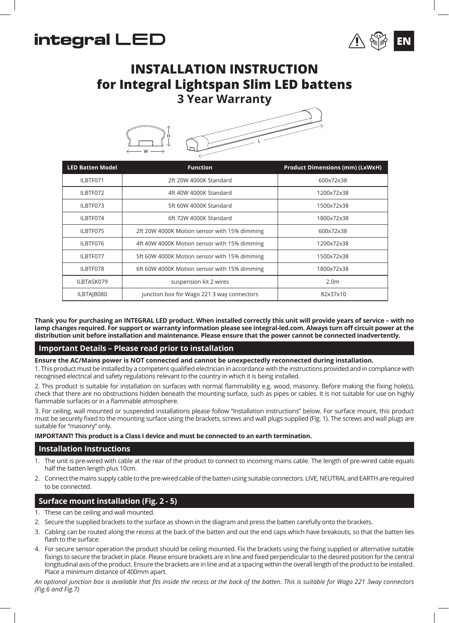# integral LED



# **INSTALLATION INSTRUCTION for Integral Lightspan Slim LED battens 3 Year Warranty**



| <b>LED Batten Model</b> | <b>Function</b>                              | <b>Product Dimensions (mm) (LxWxH)</b> |
|-------------------------|----------------------------------------------|----------------------------------------|
| ILBTF071                | 2ft 20W 4000K Standard                       | 600x72x38                              |
| ILBTF072                | 4ft 40W 4000K Standard                       | 1200x72x38                             |
| ILBTF073                | 5ft 60W 4000K Standard                       | 1500x72x38                             |
| ILBTF074                | 6ft 72W 4000K Standard                       | 1800x72x38                             |
| ILBTF075                | 2ft 20W 4000K Motion sensor with 15% dimming | 600x72x38                              |
| ILBTF076                | 4ft 40W 4000K Motion sensor with 15% dimming | 1200x72x38                             |
| ILBTF077                | 5ft 60W 4000K Motion sensor with 15% dimming | 1500x72x38                             |
| ILBTF078                | 6ft 60W 4000K Motion sensor with 15% dimming | 1800x72x38                             |
| ILBTASK079              | suspension kit 2 wires                       | 2.0 <sub>m</sub>                       |
| ILBTAIB080              | junction box for Wago 221 3 way connectors   | 82x37x10                               |

**Thank you for purchasing an INTEGRAL LED product. When installed correctly this unit will provide years of service – with no lamp changes required. For support or warranty information please see integral-led.com. Always turn off circuit power at the distribution unit before installation and maintenance. Please ensure that the power cannot be connected inadvertently.**

### **Important Details – Please read prior to installation**

**Ensure the AC/Mains power is NOT connected and cannot be unexpectedly reconnected during installation.**

1. This product must be installed by a competent qualified electrician in accordance with the instructions provided and in compliance with recognised electrical and safety regulations relevant to the country in which it is being installed.

2. This product is suitable for installation on surfaces with normal flammability e.g. wood, masonry. Before making the fixing hole(s), check that there are no obstructions hidden beneath the mounting surface, such as pipes or cables. It is not suitable for use on highly flammable surfaces or in a flammable atmosphere.

3. For ceiling, wall mounted or suspended installations please follow "Installation instructions" below. For surface mount, this product must be securely fixed to the mounting surface using the brackets, screws and wall plugs supplied (Fig. 1). The screws and wall plugs are suitable for "masonry" only.

#### **IMPORTANT! This product is a Class I device and must be connected to an earth termination.**

#### **Installation Instructions**

- 1. The unit is pre-wired with cable at the rear of the product to connect to incoming mains cable. The length of pre-wired cable equals half the batten length plus 10cm.
- 2. Connect the mains supply cable to the pre-wired cable of the batten using suitable connectors. LIVE, NEUTRAL and EARTH are required to be connected.

# **Surface mount installation (Fig. 2 - 5)**

- 1. These can be ceiling and wall mounted.
- 2. Secure the supplied brackets to the surface as shown in the diagram and press the batten carefully onto the brackets.
- 3. Cabling can be routed along the recess at the back of the batten and out the end caps which have breakouts, so that the batten lies flash to the surface.
- 4. For secure sensor operation the product should be ceiling mounted. Fix the brackets using the fixing supplied or alternative suitable fixings to secure the bracket in place. Please ensure brackets are in line and fixed perpendicular to the desired position for the central longitudinal axis of the product. Ensure the brackets are in line and at a spacing within the overall length of the product to be installed. Place a minimum distance of 400mm apart.

*An optional junction box is available that fits inside the recess at the back of the batten. This is suitable for Wago 221 3way connectors (Fig.6 and Fig.7)*